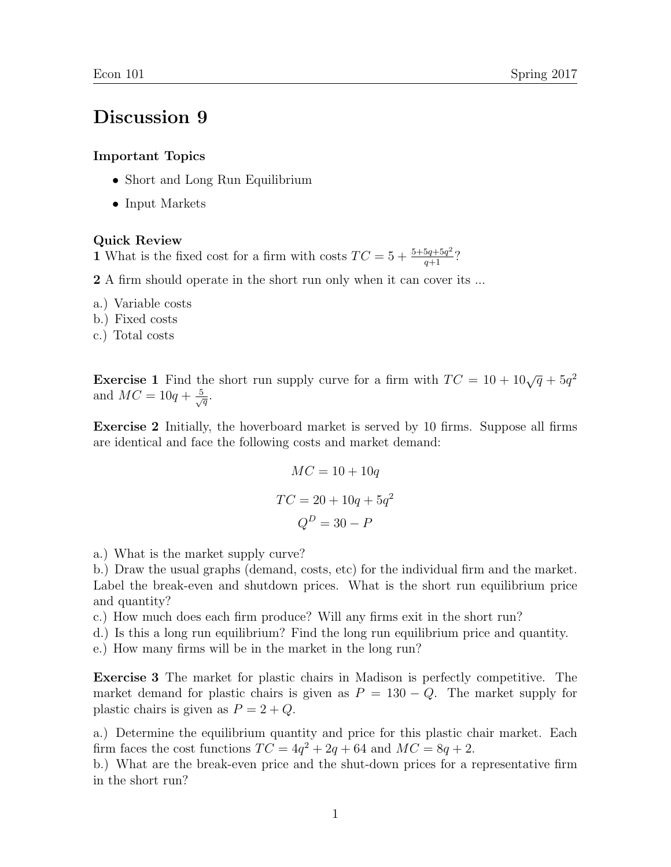## Discussion 9

## Important Topics

- Short and Long Run Equilibrium
- Input Markets

## Quick Review

1 What is the fixed cost for a firm with costs  $TC = 5 + \frac{5+5q+5q^2}{q+1}$ ?

2 A firm should operate in the short run only when it can cover its ...

- a.) Variable costs
- b.) Fixed costs
- c.) Total costs

**Exercise 1** Find the short run supply curve for a firm with  $TC = 10 + 10\sqrt{q} + 5q^2$ and  $MC = 10q + \frac{5}{\sqrt{q}}$ .

Exercise 2 Initially, the hoverboard market is served by 10 firms. Suppose all firms are identical and face the following costs and market demand:

$$
MC = 10 + 10q
$$

$$
TC = 20 + 10q + 5q^{2}
$$

$$
Q^{D} = 30 - P
$$

a.) What is the market supply curve?

b.) Draw the usual graphs (demand, costs, etc) for the individual firm and the market. Label the break-even and shutdown prices. What is the short run equilibrium price and quantity?

c.) How much does each firm produce? Will any firms exit in the short run?

d.) Is this a long run equilibrium? Find the long run equilibrium price and quantity.

e.) How many firms will be in the market in the long run?

Exercise 3 The market for plastic chairs in Madison is perfectly competitive. The market demand for plastic chairs is given as  $P = 130 - Q$ . The market supply for plastic chairs is given as  $P = 2 + Q$ .

a.) Determine the equilibrium quantity and price for this plastic chair market. Each firm faces the cost functions  $TC = 4q^2 + 2q + 64$  and  $MC = 8q + 2$ .

b.) What are the break-even price and the shut-down prices for a representative firm in the short run?